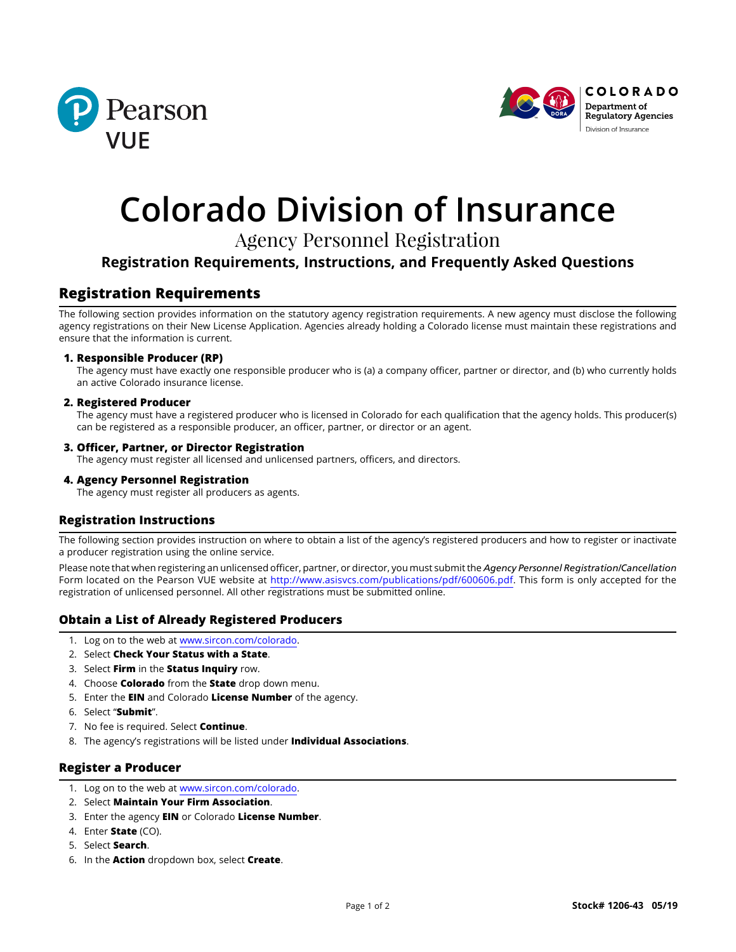



# **Colorado Division of Insurance**

## Agency Personnel Registration

## **Registration Requirements, Instructions, and Frequently Asked Questions**

## **Registration Requirements**

The following section provides information on the statutory agency registration requirements. A new agency must disclose the following agency registrations on their New License Application. Agencies already holding a Colorado license must maintain these registrations and ensure that the information is current.

#### **1. Responsible Producer (RP)**

The agency must have exactly one responsible producer who is (a) a company officer, partner or director, and (b) who currently holds an active Colorado insurance license.

#### **2. Registered Producer**

The agency must have a registered producer who is licensed in Colorado for each qualification that the agency holds. This producer(s) can be registered as a responsible producer, an officer, partner, or director or an agent.

#### **3. Officer, Partner, or Director Registration**

The agency must register all licensed and unlicensed partners, officers, and directors.

#### **4. Agency Personnel Registration**

The agency must register all producers as agents.

#### **Registration Instructions**

The following section provides instruction on where to obtain a list of the agency's registered producers and how to register or inactivate a producer registration using the online service.

Please note that when registering an unlicensed officer, partner, or director, you must submit the *Agency Personnel Registration/Cancellation* Form located on the Pearson VUE website at <http://www.asisvcs.com/publications/pdf/600606.pdf>. This form is only accepted for the registration of unlicensed personnel. All other registrations must be submitted online.

#### **Obtain a List of Already Registered Producers**

- 1. Log on to the web at [www.sircon.com/colorado](http://www.sircon.com/colorado).
- 2. Select **Check Your Status with a State**.
- 3. Select **Firm** in the **Status Inquiry** row.
- 4. Choose **Colorado** from the **State** drop down menu.
- 5. Enter the **EIN** and Colorado **License Number** of the agency.
- 6. Select "**Submit**".
- 7. No fee is required. Select **Continue**.
- 8. The agency's registrations will be listed under **Individual Associations**.

#### **Register a Producer**

- 1. Log on to the web at www.sircon.com/colorado.
- 2. Select **Maintain Your Firm Association**.
- 3. Enter the agency **EIN** or Colorado **License Number**.
- 4. Enter **State** (CO).
- 5. Select **Search**.
- 6. In the **Action** dropdown box, select **Create**.